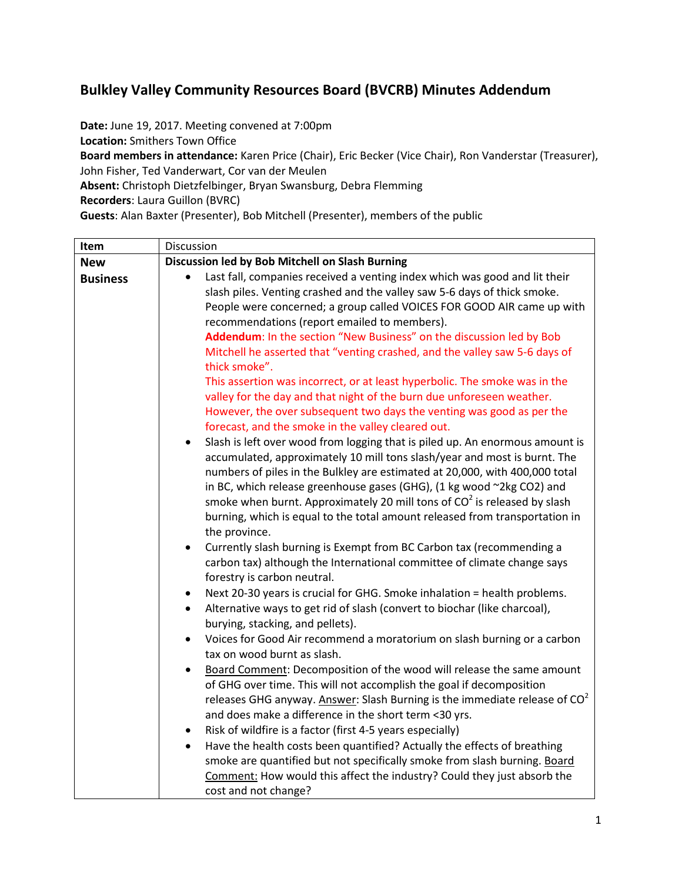## **Bulkley Valley Community Resources Board (BVCRB) Minutes Addendum**

**Date:** June 19, 2017. Meeting convened at 7:00pm

**Location:** Smithers Town Office

**Board members in attendance:** Karen Price (Chair), Eric Becker (Vice Chair), Ron Vanderstar (Treasurer), John Fisher, Ted Vanderwart, Cor van der Meulen

**Absent:** Christoph Dietzfelbinger, Bryan Swansburg, Debra Flemming

**Recorders**: Laura Guillon (BVRC)

**Guests**: Alan Baxter (Presenter), Bob Mitchell (Presenter), members of the public

| Item            | Discussion                                                                                                                                                                                                                                                                                                                                                                                                                                                                                                   |
|-----------------|--------------------------------------------------------------------------------------------------------------------------------------------------------------------------------------------------------------------------------------------------------------------------------------------------------------------------------------------------------------------------------------------------------------------------------------------------------------------------------------------------------------|
| <b>New</b>      | Discussion led by Bob Mitchell on Slash Burning                                                                                                                                                                                                                                                                                                                                                                                                                                                              |
| <b>Business</b> | Last fall, companies received a venting index which was good and lit their<br>slash piles. Venting crashed and the valley saw 5-6 days of thick smoke.<br>People were concerned; a group called VOICES FOR GOOD AIR came up with<br>recommendations (report emailed to members).                                                                                                                                                                                                                             |
|                 | Addendum: In the section "New Business" on the discussion led by Bob<br>Mitchell he asserted that "venting crashed, and the valley saw 5-6 days of<br>thick smoke".<br>This assertion was incorrect, or at least hyperbolic. The smoke was in the                                                                                                                                                                                                                                                            |
|                 | valley for the day and that night of the burn due unforeseen weather.<br>However, the over subsequent two days the venting was good as per the<br>forecast, and the smoke in the valley cleared out.                                                                                                                                                                                                                                                                                                         |
|                 | Slash is left over wood from logging that is piled up. An enormous amount is<br>$\bullet$<br>accumulated, approximately 10 mill tons slash/year and most is burnt. The<br>numbers of piles in the Bulkley are estimated at 20,000, with 400,000 total<br>in BC, which release greenhouse gases (GHG), (1 kg wood ~2kg CO2) and<br>smoke when burnt. Approximately 20 mill tons of $CO2$ is released by slash<br>burning, which is equal to the total amount released from transportation in<br>the province. |
|                 | Currently slash burning is Exempt from BC Carbon tax (recommending a<br>$\bullet$<br>carbon tax) although the International committee of climate change says<br>forestry is carbon neutral.                                                                                                                                                                                                                                                                                                                  |
|                 | Next 20-30 years is crucial for GHG. Smoke inhalation = health problems.<br>$\bullet$<br>Alternative ways to get rid of slash (convert to biochar (like charcoal),<br>$\bullet$<br>burying, stacking, and pellets).                                                                                                                                                                                                                                                                                          |
|                 | Voices for Good Air recommend a moratorium on slash burning or a carbon<br>$\bullet$<br>tax on wood burnt as slash.                                                                                                                                                                                                                                                                                                                                                                                          |
|                 | Board Comment: Decomposition of the wood will release the same amount<br>$\bullet$<br>of GHG over time. This will not accomplish the goal if decomposition<br>releases GHG anyway. Answer: Slash Burning is the immediate release of $CO2$<br>and does make a difference in the short term <30 yrs.                                                                                                                                                                                                          |
|                 | Risk of wildfire is a factor (first 4-5 years especially)<br>$\bullet$<br>Have the health costs been quantified? Actually the effects of breathing<br>$\bullet$<br>smoke are quantified but not specifically smoke from slash burning. Board<br>Comment: How would this affect the industry? Could they just absorb the<br>cost and not change?                                                                                                                                                              |